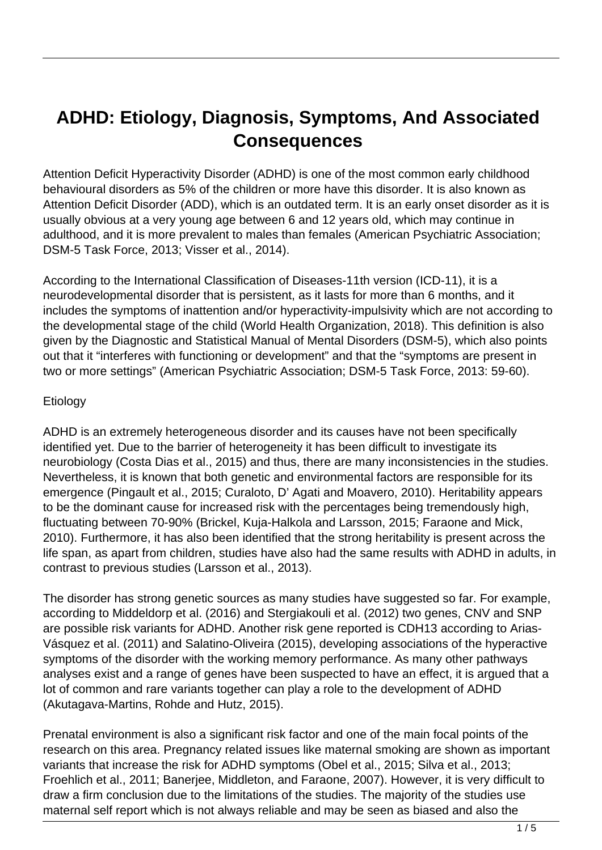## **ADHD: Etiology, Diagnosis, Symptoms, And Associated Consequences**

Attention Deficit Hyperactivity Disorder (ADHD) is one of the most common early childhood behavioural disorders as 5% of the children or more have this disorder. It is also known as Attention Deficit Disorder (ADD), which is an outdated term. It is an early onset disorder as it is usually obvious at a very young age between 6 and 12 years old, which may continue in adulthood, and it is more prevalent to males than females (American Psychiatric Association; DSM-5 Task Force, 2013; Visser et al., 2014).

According to the International Classification of Diseases-11th version (ICD-11), it is a neurodevelopmental disorder that is persistent, as it lasts for more than 6 months, and it includes the symptoms of inattention and/or hyperactivity-impulsivity which are not according to the developmental stage of the child (World Health Organization, 2018). This definition is also given by the Diagnostic and Statistical Manual of Mental Disorders (DSM-5), which also points out that it "interferes with functioning or development" and that the "symptoms are present in two or more settings" (American Psychiatric Association; DSM-5 Task Force, 2013: 59-60).

## Etiology

ADHD is an extremely heterogeneous disorder and its causes have not been specifically identified yet. Due to the barrier of heterogeneity it has been difficult to investigate its neurobiology (Costa Dias et al., 2015) and thus, there are many inconsistencies in the studies. Nevertheless, it is known that both genetic and environmental factors are responsible for its emergence (Pingault et al., 2015; Curaloto, D' Agati and Moavero, 2010). Heritability appears to be the dominant cause for increased risk with the percentages being tremendously high, fluctuating between 70-90% (Brickel, Kuja-Halkola and Larsson, 2015; Faraone and Mick, 2010). Furthermore, it has also been identified that the strong heritability is present across the life span, as apart from children, studies have also had the same results with ADHD in adults, in contrast to previous studies (Larsson et al., 2013).

The disorder has strong genetic sources as many studies have suggested so far. For example, according to Middeldorp et al. (2016) and Stergiakouli et al. (2012) two genes, CNV and SNP are possible risk variants for ADHD. Another risk gene reported is CDH13 according to Arias-Vásquez et al. (2011) and Salatino-Oliveira (2015), developing associations of the hyperactive symptoms of the disorder with the working memory performance. As many other pathways analyses exist and a range of genes have been suspected to have an effect, it is argued that a lot of common and rare variants together can play a role to the development of ADHD (Akutagava-Martins, Rohde and Hutz, 2015).

Prenatal environment is also a significant risk factor and one of the main focal points of the research on this area. Pregnancy related issues like maternal smoking are shown as important variants that increase the risk for ADHD symptoms (Obel et al., 2015; Silva et al., 2013; Froehlich et al., 2011; Banerjee, Middleton, and Faraone, 2007). However, it is very difficult to draw a firm conclusion due to the limitations of the studies. The majority of the studies use maternal self report which is not always reliable and may be seen as biased and also the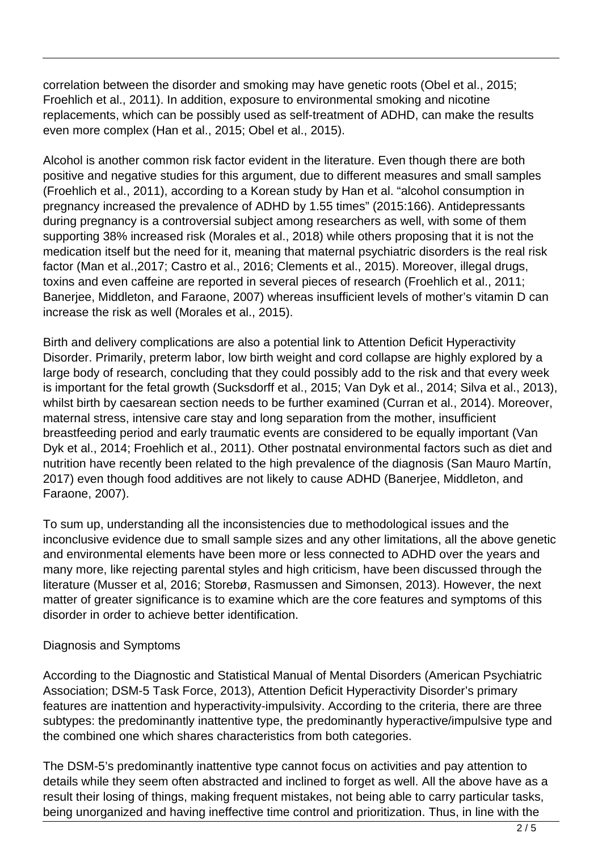correlation between the disorder and smoking may have genetic roots (Obel et al., 2015; Froehlich et al., 2011). In addition, exposure to environmental smoking and nicotine replacements, which can be possibly used as self-treatment of ADHD, can make the results even more complex (Han et al., 2015; Obel et al., 2015).

Alcohol is another common risk factor evident in the literature. Even though there are both positive and negative studies for this argument, due to different measures and small samples (Froehlich et al., 2011), according to a Korean study by Han et al. "alcohol consumption in pregnancy increased the prevalence of ADHD by 1.55 times" (2015:166). Antidepressants during pregnancy is a controversial subject among researchers as well, with some of them supporting 38% increased risk (Morales et al., 2018) while others proposing that it is not the medication itself but the need for it, meaning that maternal psychiatric disorders is the real risk factor (Man et al.,2017; Castro et al., 2016; Clements et al., 2015). Moreover, illegal drugs, toxins and even caffeine are reported in several pieces of research (Froehlich et al., 2011; Banerjee, Middleton, and Faraone, 2007) whereas insufficient levels of mother's vitamin D can increase the risk as well (Morales et al., 2015).

Birth and delivery complications are also a potential link to Attention Deficit Hyperactivity Disorder. Primarily, preterm labor, low birth weight and cord collapse are highly explored by a large body of research, concluding that they could possibly add to the risk and that every week is important for the fetal growth (Sucksdorff et al., 2015; Van Dyk et al., 2014; Silva et al., 2013), whilst birth by caesarean section needs to be further examined (Curran et al., 2014). Moreover, maternal stress, intensive care stay and long separation from the mother, insufficient breastfeeding period and early traumatic events are considered to be equally important (Van Dyk et al., 2014; Froehlich et al., 2011). Other postnatal environmental factors such as diet and nutrition have recently been related to the high prevalence of the diagnosis (San Mauro Martín, 2017) even though food additives are not likely to cause ADHD (Banerjee, Middleton, and Faraone, 2007).

To sum up, understanding all the inconsistencies due to methodological issues and the inconclusive evidence due to small sample sizes and any other limitations, all the above genetic and environmental elements have been more or less connected to ADHD over the years and many more, like rejecting parental styles and high criticism, have been discussed through the literature (Musser et al, 2016; Storebø, Rasmussen and Simonsen, 2013). However, the next matter of greater significance is to examine which are the core features and symptoms of this disorder in order to achieve better identification.

## Diagnosis and Symptoms

According to the Diagnostic and Statistical Manual of Mental Disorders (American Psychiatric Association; DSM-5 Task Force, 2013), Attention Deficit Hyperactivity Disorder's primary features are inattention and hyperactivity-impulsivity. According to the criteria, there are three subtypes: the predominantly inattentive type, the predominantly hyperactive/impulsive type and the combined one which shares characteristics from both categories.

The DSM-5's predominantly inattentive type cannot focus on activities and pay attention to details while they seem often abstracted and inclined to forget as well. All the above have as a result their losing of things, making frequent mistakes, not being able to carry particular tasks, being unorganized and having ineffective time control and prioritization. Thus, in line with the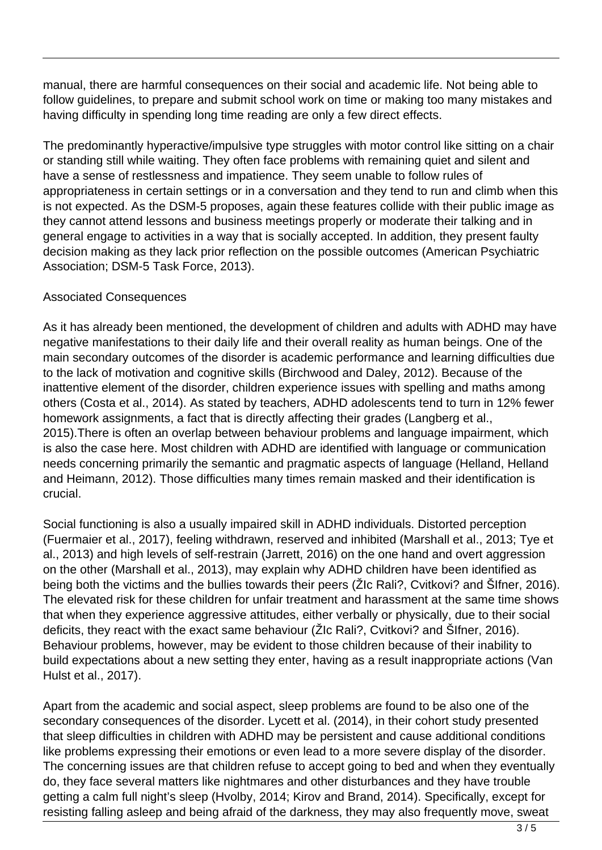manual, there are harmful consequences on their social and academic life. Not being able to follow guidelines, to prepare and submit school work on time or making too many mistakes and having difficulty in spending long time reading are only a few direct effects.

The predominantly hyperactive/impulsive type struggles with motor control like sitting on a chair or standing still while waiting. They often face problems with remaining quiet and silent and have a sense of restlessness and impatience. They seem unable to follow rules of appropriateness in certain settings or in a conversation and they tend to run and climb when this is not expected. As the DSM-5 proposes, again these features collide with their public image as they cannot attend lessons and business meetings properly or moderate their talking and in general engage to activities in a way that is socially accepted. In addition, they present faulty decision making as they lack prior reflection on the possible outcomes (American Psychiatric Association; DSM-5 Task Force, 2013).

## Associated Consequences

As it has already been mentioned, the development of children and adults with ADHD may have negative manifestations to their daily life and their overall reality as human beings. One of the main secondary outcomes of the disorder is academic performance and learning difficulties due to the lack of motivation and cognitive skills (Birchwood and Daley, 2012). Because of the inattentive element of the disorder, children experience issues with spelling and maths among others (Costa et al., 2014). As stated by teachers, ADHD adolescents tend to turn in 12% fewer homework assignments, a fact that is directly affecting their grades (Langberg et al., 2015).There is often an overlap between behaviour problems and language impairment, which is also the case here. Most children with ADHD are identified with language or communication needs concerning primarily the semantic and pragmatic aspects of language (Helland, Helland and Heimann, 2012). Those difficulties many times remain masked and their identification is crucial.

Social functioning is also a usually impaired skill in ADHD individuals. Distorted perception (Fuermaier et al., 2017), feeling withdrawn, reserved and inhibited (Marshall et al., 2013; Tye et al., 2013) and high levels of self-restrain (Jarrett, 2016) on the one hand and overt aggression on the other (Marshall et al., 2013), may explain why ADHD children have been identified as being both the victims and the bullies towards their peers (ŽIc Rali?, Cvitkovi? and ŠIfner, 2016). The elevated risk for these children for unfair treatment and harassment at the same time shows that when they experience aggressive attitudes, either verbally or physically, due to their social deficits, they react with the exact same behaviour (ŽIc Rali?, Cvitkovi? and ŠIfner, 2016). Behaviour problems, however, may be evident to those children because of their inability to build expectations about a new setting they enter, having as a result inappropriate actions (Van Hulst et al., 2017).

Apart from the academic and social aspect, sleep problems are found to be also one of the secondary consequences of the disorder. Lycett et al. (2014), in their cohort study presented that sleep difficulties in children with ADHD may be persistent and cause additional conditions like problems expressing their emotions or even lead to a more severe display of the disorder. The concerning issues are that children refuse to accept going to bed and when they eventually do, they face several matters like nightmares and other disturbances and they have trouble getting a calm full night's sleep (Hvolby, 2014; Kirov and Brand, 2014). Specifically, except for resisting falling asleep and being afraid of the darkness, they may also frequently move, sweat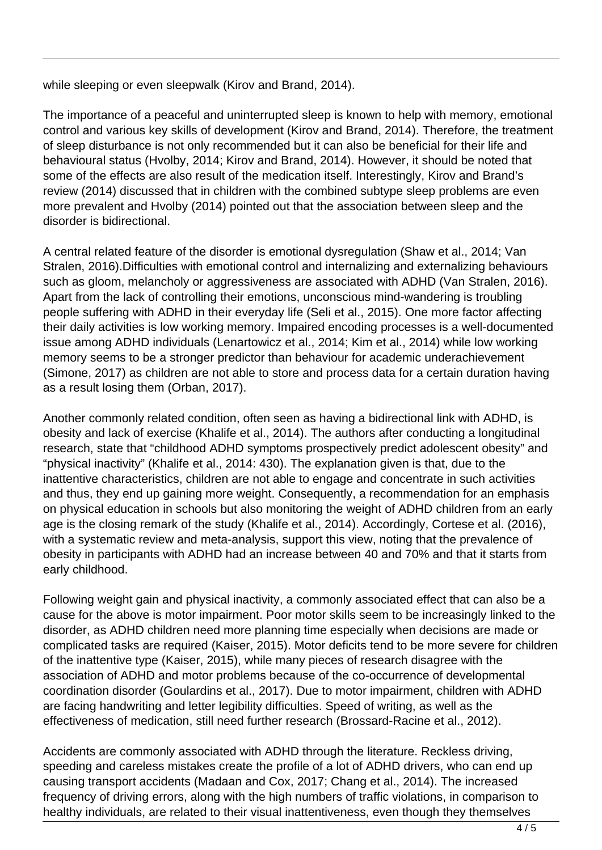while sleeping or even sleepwalk (Kirov and Brand, 2014).

The importance of a peaceful and uninterrupted sleep is known to help with memory, emotional control and various key skills of development (Kirov and Brand, 2014). Therefore, the treatment of sleep disturbance is not only recommended but it can also be beneficial for their life and behavioural status (Hvolby, 2014; Kirov and Brand, 2014). However, it should be noted that some of the effects are also result of the medication itself. Interestingly, Kirov and Brand's review (2014) discussed that in children with the combined subtype sleep problems are even more prevalent and Hvolby (2014) pointed out that the association between sleep and the disorder is bidirectional.

A central related feature of the disorder is emotional dysregulation (Shaw et al., 2014; Van Stralen, 2016).Difficulties with emotional control and internalizing and externalizing behaviours such as gloom, melancholy or aggressiveness are associated with ADHD (Van Stralen, 2016). Apart from the lack of controlling their emotions, unconscious mind-wandering is troubling people suffering with ADHD in their everyday life (Seli et al., 2015). One more factor affecting their daily activities is low working memory. Impaired encoding processes is a well-documented issue among ADHD individuals (Lenartowicz et al., 2014; Kim et al., 2014) while low working memory seems to be a stronger predictor than behaviour for academic underachievement (Simone, 2017) as children are not able to store and process data for a certain duration having as a result losing them (Orban, 2017).

Another commonly related condition, often seen as having a bidirectional link with ADHD, is obesity and lack of exercise (Khalife et al., 2014). The authors after conducting a longitudinal research, state that "childhood ADHD symptoms prospectively predict adolescent obesity" and "physical inactivity" (Khalife et al., 2014: 430). The explanation given is that, due to the inattentive characteristics, children are not able to engage and concentrate in such activities and thus, they end up gaining more weight. Consequently, a recommendation for an emphasis on physical education in schools but also monitoring the weight of ADHD children from an early age is the closing remark of the study (Khalife et al., 2014). Accordingly, Cortese et al. (2016), with a systematic review and meta-analysis, support this view, noting that the prevalence of obesity in participants with ADHD had an increase between 40 and 70% and that it starts from early childhood.

Following weight gain and physical inactivity, a commonly associated effect that can also be a cause for the above is motor impairment. Poor motor skills seem to be increasingly linked to the disorder, as ADHD children need more planning time especially when decisions are made or complicated tasks are required (Kaiser, 2015). Motor deficits tend to be more severe for children of the inattentive type (Kaiser, 2015), while many pieces of research disagree with the association of ADHD and motor problems because of the co-occurrence of developmental coordination disorder (Goulardins et al., 2017). Due to motor impairment, children with ADHD are facing handwriting and letter legibility difficulties. Speed of writing, as well as the effectiveness of medication, still need further research (Brossard-Racine et al., 2012).

Accidents are commonly associated with ADHD through the literature. Reckless driving, speeding and careless mistakes create the profile of a lot of ADHD drivers, who can end up causing transport accidents (Madaan and Cox, 2017; Chang et al., 2014). The increased frequency of driving errors, along with the high numbers of traffic violations, in comparison to healthy individuals, are related to their visual inattentiveness, even though they themselves